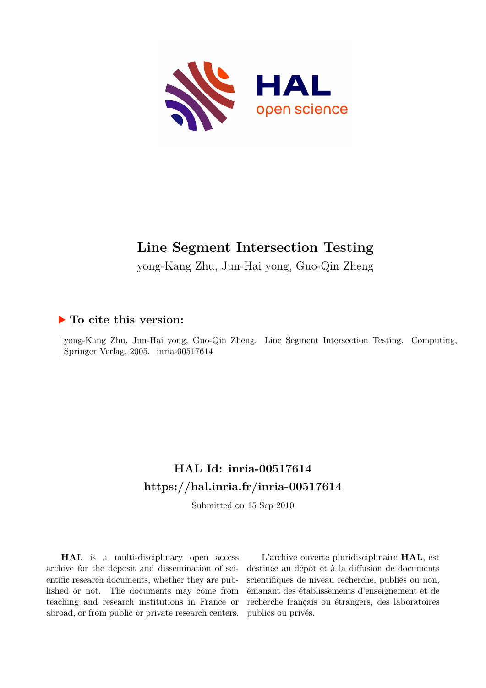

# **Line Segment Intersection Testing**

yong-Kang Zhu, Jun-Hai yong, Guo-Qin Zheng

## **To cite this version:**

yong-Kang Zhu, Jun-Hai yong, Guo-Qin Zheng. Line Segment Intersection Testing. Computing, Springer Verlag, 2005. inria-00517614

## **HAL Id: inria-00517614 <https://hal.inria.fr/inria-00517614>**

Submitted on 15 Sep 2010

**HAL** is a multi-disciplinary open access archive for the deposit and dissemination of scientific research documents, whether they are published or not. The documents may come from teaching and research institutions in France or abroad, or from public or private research centers.

L'archive ouverte pluridisciplinaire **HAL**, est destinée au dépôt et à la diffusion de documents scientifiques de niveau recherche, publiés ou non, émanant des établissements d'enseignement et de recherche français ou étrangers, des laboratoires publics ou privés.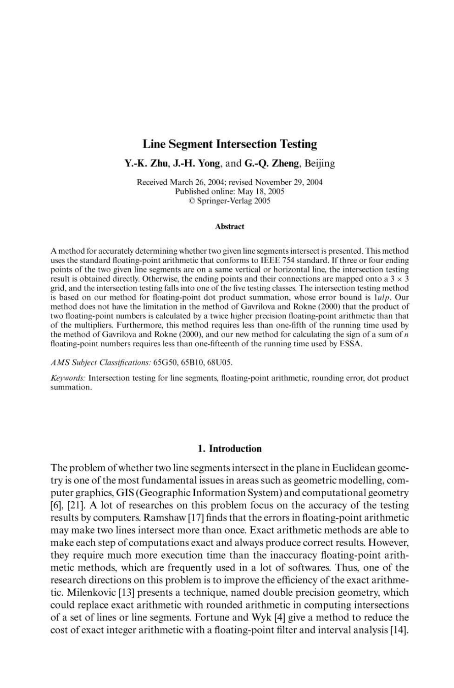## **Line Segment Intersection Testing**

## Y.-K. Zhu, J.-H. Yong, and G.-Q. Zheng, Beijing

Received March 26, 2004; revised November 29, 2004 Published online: May 18, 2005 © Springer-Verlag 2005

#### **Abstract**

A method for accurately determining whether two given line segments intersect is presented. This method uses the standard floating-point arithmetic that conforms to IEEE 754 standard. If three or four ending points of the two given line segments are on a same vertical or horizontal line, the intersection testing result is obtained directly. Otherwise, the ending points and their connections are mapped onto a  $3 \times 3$ grid, and the intersection testing falls into one of the five testing classes. The intersection testing method is based on our method for floating-point dot product summation, whose error bound is  $1u/p$ . Our method does not have the limitation in the method of Gavrilova and Rokne (2000) that the product of two floating-point numbers is calculated by a twice higher precision floating-point arithmetic than that of the multipliers. Furthermore, this method requires less than one-fifth of the running time used by the method of Gavrilova and Rokne (2000), and our new method for calculating the sign of a sum of  $n$ floating-point numbers requires less than one-fifteenth of the running time used by ESSA.

AMS Subject Classifications: 65G50, 65B10, 68U05.

Keywords: Intersection testing for line segments, floating-point arithmetic, rounding error, dot product summation.

#### 1. Introduction

The problem of whether two line segments intersect in the plane in Euclidean geometry is one of the most fundamental issues in areas such as geometric modelling, computer graphics, GIS (Geographic Information System) and computational geometry [6], [21]. A lot of researches on this problem focus on the accuracy of the testing results by computers. Ramshaw [17] finds that the errors in floating-point arithmetic may make two lines intersect more than once. Exact arithmetic methods are able to make each step of computations exact and always produce correct results. However, they require much more execution time than the inaccuracy floating-point arithmetic methods, which are frequently used in a lot of softwares. Thus, one of the research directions on this problem is to improve the efficiency of the exact arithmetic. Milenkovic [13] presents a technique, named double precision geometry, which could replace exact arithmetic with rounded arithmetic in computing intersections of a set of lines or line segments. Fortune and Wyk [4] give a method to reduce the cost of exact integer arithmetic with a floating-point filter and interval analysis [14].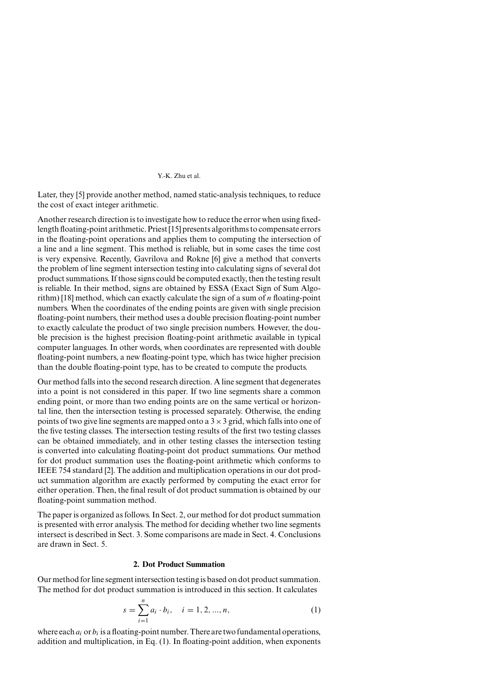Later, they [5] provide another method, named static-analysis techniques, to reduce the cost of exact integer arithmetic.

Another research direction is to investigate how to reduce the error when using fixedlength floating-point arithmetic. Priest [15] presents algorithms to compensate errors in the floating-point operations and applies them to computing the intersection of a line and a line segment. This method is reliable, but in some cases the time cost is very expensive. Recently, Gavrilova and Rokne [6] give a method that converts the problem of line segment intersection testing into calculating signs of several dot product summations. If those signs could be computed exactly, then the testing result is reliable. In their method, signs are obtained by ESSA (Exact Sign of Sum Algorithm) [18] method, which can exactly calculate the sign of a sum of *n* floating-point numbers. When the coordinates of the ending points are given with single precision floating-point numbers, their method uses a double precision floating-point number to exactly calculate the product of two single precision numbers. However, the double precision is the highest precision floating-point arithmetic available in typical computer languages. In other words, when coordinates are represented with double floating-point numbers, a new floating-point type, which has twice higher precision than the double floating-point type, has to be created to compute the products.

Our method falls into the second research direction. A line segment that degenerates into a point is not considered in this paper. If two line segments share a common ending point, or more than two ending points are on the same vertical or horizontal line, then the intersection testing is processed separately. Otherwise, the ending points of two give line segments are mapped onto a  $3 \times 3$  grid, which falls into one of the five testing classes. The intersection testing results of the first two testing classes can be obtained immediately, and in other testing classes the intersection testing is converted into calculating floating-point dot product summations. Our method for dot product summation uses the floating-point arithmetic which conforms to IEEE 754 standard [2]. The addition and multiplication operations in our dot product summation algorithm are exactly performed by computing the exact error for either operation. Then, the final result of dot product summation is obtained by our floating-point summation method.

The paper is organized as follows. In Sect. 2, our method for dot product summation is presented with error analysis. The method for deciding whether two line segments intersect is described in Sect. 3. Some comparisons are made in Sect. 4. Conclusions are drawn in Sect. 5.

## **2. Dot Product Summation**

Our method for line segment intersection testing is based on dot product summation. The method for dot product summation is introduced in this section. It calculates

$$
s = \sum_{i=1}^{n} a_i \cdot b_i, \quad i = 1, 2, ..., n,
$$
 (1)

where each  $a_i$  or  $b_i$  is a floating-point number. There are two fundamental operations, addition and multiplication, in Eq. (1). In floating-point addition, when exponents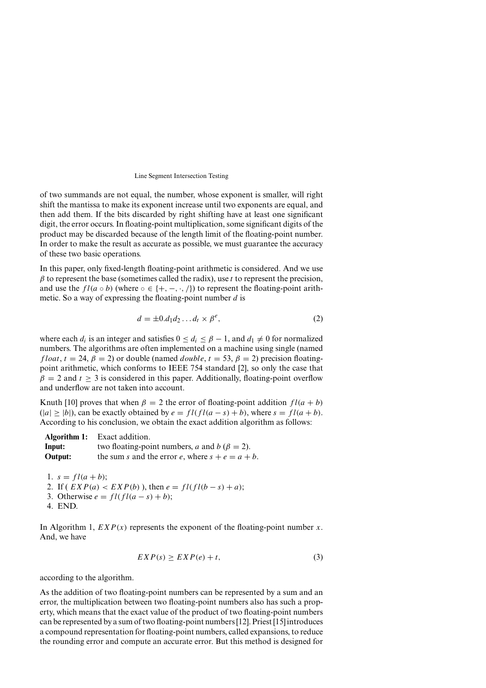of two summands are not equal, the number, whose exponent is smaller, will right shift the mantissa to make its exponent increase until two exponents are equal, and then add them. If the bits discarded by right shifting have at least one significant digit, the error occurs. In floating-point multiplication, some significant digits of the product may be discarded because of the length limit of the floating-point number. In order to make the result as accurate as possible, we must guarantee the accuracy of these two basic operations.

In this paper, only fixed-length floating-point arithmetic is considered. And we use *β* to represent the base (sometimes called the radix), use *t* to represent the precision, and use the  $fl(a \circ b)$  (where  $\circ \in \{+, -, \cdot, / \}$ ) to represent the floating-point arithmetic. So a way of expressing the floating-point number *d* is

$$
d = \pm 0.d_1d_2\ldots d_t \times \beta^e,\tag{2}
$$

where each  $d_i$  is an integer and satisfies  $0 \leq d_i \leq \beta - 1$ , and  $d_1 \neq 0$  for normalized numbers. The algorithms are often implemented on a machine using single (named *f loat*,  $t = 24$ ,  $\beta = 2$ ) or double (named *double*,  $t = 53$ ,  $\beta = 2$ ) precision floatingpoint arithmetic, which conforms to IEEE 754 standard [2], so only the case that  $\beta = 2$  and  $t \ge 3$  is considered in this paper. Additionally, floating-point overflow and underflow are not taken into account.

Knuth [10] proves that when  $\beta = 2$  the error of floating-point addition  $fl(a + b)$  $(|a| \ge |b|)$ , can be exactly obtained by  $e = fl(f l(a - s) + b)$ , where  $s = fl(a + b)$ . According to his conclusion, we obtain the exact addition algorithm as follows:

|         | <b>Algorithm 1:</b> Exact addition.                 |
|---------|-----------------------------------------------------|
| Input:  | two floating-point numbers, a and $b (\beta = 2)$ . |
| Output: | the sum s and the error e, where $s + e = a + b$ .  |

1.  $s = fl(a + b)$ ; 2. If  $(EXP(a) < EXP(b)$ , then  $e = fl(fl(b - s) + a)$ ; 3. Otherwise  $e = fl(f l (a - s) + b);$ 4. END.

In Algorithm 1,  $EXP(x)$  represents the exponent of the floating-point number *x*. And, we have

$$
EXP(s) \geq EXP(e) + t,\tag{3}
$$

according to the algorithm.

As the addition of two floating-point numbers can be represented by a sum and an error, the multiplication between two floating-point numbers also has such a property, which means that the exact value of the product of two floating-point numbers can be represented by a sum of two floating-point numbers [12]. Priest [15] introduces a compound representation for floating-point numbers, called expansions, to reduce the rounding error and compute an accurate error. But this method is designed for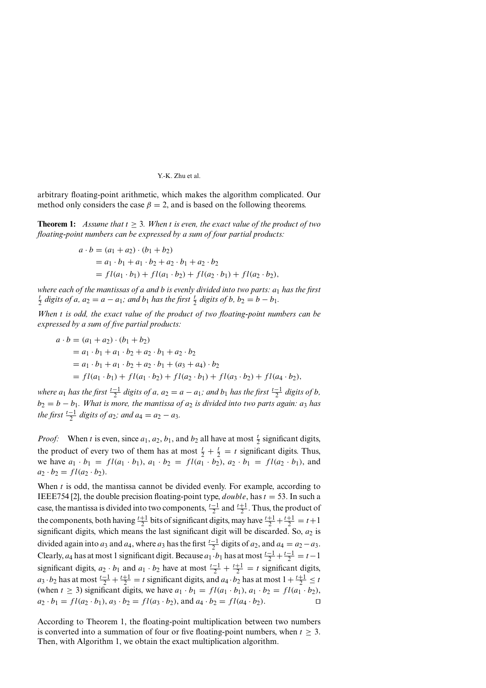arbitrary floating-point arithmetic, which makes the algorithm complicated. Our method only considers the case  $\beta = 2$ , and is based on the following theorems.

**Theorem 1:** *Assume that*  $t \geq 3$ *. When t is even, the exact value of the product of two floating-point numbers can be expressed by a sum of four partial products:*

$$
a \cdot b = (a_1 + a_2) \cdot (b_1 + b_2)
$$
  
=  $a_1 \cdot b_1 + a_1 \cdot b_2 + a_2 \cdot b_1 + a_2 \cdot b_2$   
=  $f l(a_1 \cdot b_1) + f l(a_1 \cdot b_2) + f l(a_2 \cdot b_1) + f l(a_2 \cdot b_2)$ ,

*where each of the mantissas of <sup>a</sup> and <sup>b</sup> is evenly divided into two parts: <sup>a</sup>*<sup>1</sup> *has the first <sup>t</sup>*  $\frac{1}{2}$  *digits of a, a*<sub>2</sub> = *a* − *a*<sub>1</sub>*; and b*<sub>1</sub> *has the first*  $\frac{1}{2}$  *digits of b, b*<sub>2</sub> = *b* − *b*<sub>1</sub>*.* 

*When t is odd, the exact value of the product of two floating-point numbers can be expressed by a sum of five partial products:*

$$
a \cdot b = (a_1 + a_2) \cdot (b_1 + b_2)
$$
  
=  $a_1 \cdot b_1 + a_1 \cdot b_2 + a_2 \cdot b_1 + a_2 \cdot b_2$   
=  $a_1 \cdot b_1 + a_1 \cdot b_2 + a_2 \cdot b_1 + (a_3 + a_4) \cdot b_2$   
=  $f l(a_1 \cdot b_1) + f l(a_1 \cdot b_2) + f l(a_2 \cdot b_1) + f l(a_3 \cdot b_2) + f l(a_4 \cdot b_2),$ 

*where*  $a_1$  *has the first*  $\frac{t-1}{2}$  *digits of*  $a$ *,*  $a_2 = a - a_1$ *; and*  $b_1$  *has the first*  $\frac{t-1}{2}$  *digits of*  $b$ *,*  $b_2 = b - b_1$ *. What is more, the mantissa of*  $a_2$  *is divided into two parts again:*  $a_3$  *has the first*  $\frac{t-1}{2}$  *digits of*  $a_2$ *; and*  $a_4 = a_2 - a_3$ *.* 

*Proof:* When *t* is even, since  $a_1$ ,  $a_2$ ,  $b_1$ , and  $b_2$  all have at most  $\frac{t}{2}$  significant digits, the product of every two of them has at most  $\frac{t}{2} + \frac{t}{2} = t$  significant digits. Thus, we have  $a_1 \cdot b_1 = fl(a_1 \cdot b_1), a_1 \cdot b_2 = fl(a_1 \cdot b_2), a_2 \cdot b_1 = fl(a_2 \cdot b_1),$  and  $a_2 \cdot b_2 = fl(a_2 \cdot b_2).$ 

When *t* is odd, the mantissa cannot be divided evenly. For example, according to IEEE754 [2], the double precision floating-point type,  $double$ , has  $t = 53$ . In such a case, the mantissa is divided into two components,  $\frac{t-1}{2}$  and  $\frac{t+1}{2}$ . Thus, the product of the components, both having  $\frac{t+1}{2}$  bits of significant digits, may have  $\frac{t+1}{2} + \frac{t+1}{2} = t+1$ significant digits, which means the last significant digit will be discarded. So,  $a_2$  is divided again into *a*<sub>3</sub> and *a*<sub>4</sub>, where *a*<sub>3</sub> has the first  $\frac{t-1}{2}$  digits of *a*<sub>2</sub>, and *a*<sub>4</sub> = *a*<sub>2</sub> − *a*<sub>3</sub>. Clearly, *a*<sub>4</sub> has at most 1 significant digit. Because *a*<sub>1</sub> ·*b*<sub>1</sub> has at most  $\frac{t-1}{2} + \frac{t-1}{2} = t-1$ significant digits,  $a_2 \cdot b_1$  and  $a_1 \cdot b_2$  have at most  $\frac{t-1}{2} + \frac{t+1}{2} = t$  significant digits,  $a_3 \cdot b_2$  has at most  $\frac{t-1}{2} + \frac{t+1}{2} = t$  significant digits, and  $a_4 \cdot b_2$  has at most  $1 + \frac{t+1}{2} \le t$ (when  $t \ge 3$ ) significant digits, we have  $a_1 \cdot b_1 = fl(a_1 \cdot b_1)$ ,  $a_1 \cdot b_2 = fl(a_1 \cdot b_2)$ ,  $a_2 \cdot b_1 = fl(a_2 \cdot b_1), a_3 \cdot b_2 = fl(a_3 \cdot b_2), \text{ and } a_4 \cdot b_2 = fl(a_4 \cdot b_2).$ 

According to Theorem 1, the floating-point multiplication between two numbers is converted into a summation of four or five floating-point numbers, when  $t \geq 3$ . Then, with Algorithm 1, we obtain the exact multiplication algorithm.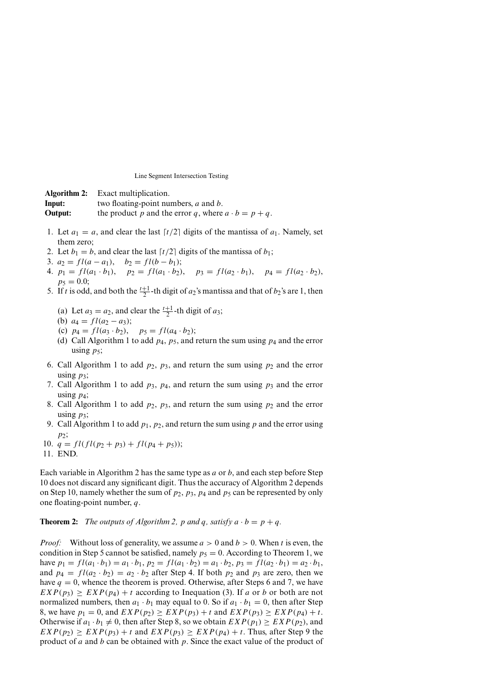| <b>Algorithm 2:</b> | Exact multiplication. |
|---------------------|-----------------------|
|---------------------|-----------------------|

**Input:** two floating-point numbers, *a* and *b*.

**Output:** the product *p* and the error *q*, where  $a \cdot b = p + q$ .

- 1. Let  $a_1 = a$ , and clear the last  $\lceil t/2 \rceil$  digits of the mantissa of  $a_1$ . Namely, set them zero;
- 2. Let  $b_1 = b$ , and clear the last  $\lceil t/2 \rceil$  digits of the mantissa of  $b_1$ ;
- 3.  $a_2 = fl(a a_1), \quad b_2 = fl(b b_1);$
- 4.  $p_1 = fl(a_1 \cdot b_1), \quad p_2 = fl(a_1 \cdot b_2), \quad p_3 = fl(a_2 \cdot b_1), \quad p_4 = fl(a_2 \cdot b_2),$  $p_5 = 0.0$ ;
- 5. If *t* is odd, and both the  $\frac{t+1}{2}$ -th digit of *a*<sub>2</sub>'s mantissa and that of *b*<sub>2</sub>'s are 1, then
	- (a) Let  $a_3 = a_2$ , and clear the  $\frac{t+1}{2}$ -th digit of  $a_3$ ;
	- (b)  $a_4 = fl(a_2 a_3);$
	- (c)  $p_4 = fl(a_3 \cdot b_2), \quad p_5 = fl(a_4 \cdot b_2);$
	- (d) Call Algorithm 1 to add  $p_4$ ,  $p_5$ , and return the sum using  $p_4$  and the error using *p*<sub>5</sub>;
- 6. Call Algorithm 1 to add  $p_2$ ,  $p_3$ , and return the sum using  $p_2$  and the error using  $p_3$ ;
- 7. Call Algorithm 1 to add  $p_3$ ,  $p_4$ , and return the sum using  $p_3$  and the error using *p*4;
- 8. Call Algorithm 1 to add  $p_2$ ,  $p_3$ , and return the sum using  $p_2$  and the error using  $p_3$ ;
- 9. Call Algorithm 1 to add  $p_1$ ,  $p_2$ , and return the sum using p and the error using *p*2;
- 10.  $q = fl(f l (p_2 + p_3) + fl (p_4 + p_5))$ ;
- 11. END.

Each variable in Algorithm 2 has the same type as *a* or *b*, and each step before Step 10 does not discard any significant digit. Thus the accuracy of Algorithm 2 depends on Step 10, namely whether the sum of *p*2, *p*3, *p*<sup>4</sup> and *p*<sup>5</sup> can be represented by only one floating-point number, *q*.

## **Theorem 2:** *The outputs of Algorithm 2, p and q, satisfy*  $a \cdot b = p + q$ .

*Proof:* Without loss of generality, we assume  $a > 0$  and  $b > 0$ . When t is even, the condition in Step 5 cannot be satisfied, namely  $p_5 = 0$ . According to Theorem 1, we have  $p_1 = fl(a_1 \cdot b_1) = a_1 \cdot b_1$ ,  $p_2 = fl(a_1 \cdot b_2) = a_1 \cdot b_2$ ,  $p_3 = fl(a_2 \cdot b_1) = a_2 \cdot b_1$ , and  $p_4 = fl(a_2 \cdot b_2) = a_2 \cdot b_2$  after Step 4. If both  $p_2$  and  $p_3$  are zero, then we have  $q = 0$ , whence the theorem is proved. Otherwise, after Steps 6 and 7, we have  $EXP(p_3) \geq EXP(p_4) + t$  according to Inequation (3). If *a* or *b* or both are not normalized numbers, then  $a_1 \cdot b_1$  may equal to 0. So if  $a_1 \cdot b_1 = 0$ , then after Step 8, we have  $p_1 = 0$ , and  $EXP(p_2) \geq EXP(p_3) + t$  and  $EXP(p_3) \geq EXP(p_4) + t$ . Otherwise if  $a_1 \cdot b_1 \neq 0$ , then after Step 8, so we obtain  $EXP(p_1) \geq EXP(p_2)$ , and  $EXP(p_2) \geq EXP(p_3) + t$  and  $EXP(p_3) \geq EXP(p_4) + t$ . Thus, after Step 9 the product of *a* and *b* can be obtained with *p*. Since the exact value of the product of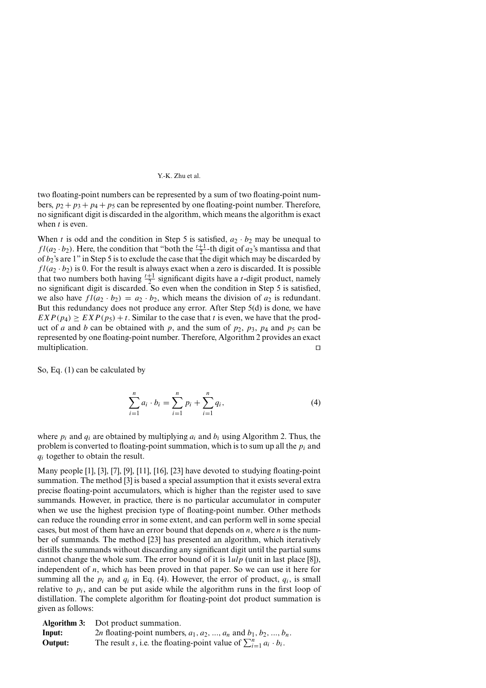two floating-point numbers can be represented by a sum of two floating-point numbers,  $p_2 + p_3 + p_4 + p_5$  can be represented by one floating-point number. Therefore, no significant digit is discarded in the algorithm, which means the algorithm is exact when *t* is even.

When *t* is odd and the condition in Step 5 is satisfied,  $a_2 \cdot b_2$  may be unequal to  $fl(a_2 \cdot b_2)$ . Here, the condition that "both the  $\frac{t+1}{2}$ -th digit of  $a_2$ 's mantissa and that of *b*<sub>2</sub>'s are 1" in Step 5 is to exclude the case that the digit which may be discarded by  $f l(a_2 \cdot b_2)$  is 0. For the result is always exact when a zero is discarded. It is possible that two numbers both having  $\frac{t+1}{2}$  significant digits have a *t*-digit product, namely no significant digit is discarded. So even when the condition in Step 5 is satisfied, we also have  $fl(a_2 \cdot b_2) = a_2 \cdot b_2$ , which means the division of  $a_2$  is redundant. But this redundancy does not produce any error. After Step 5(d) is done, we have  $EXP(p_4) \geq EXP(p_5) + t$ . Similar to the case that *t* is even, we have that the product of *a* and *b* can be obtained with *p*, and the sum of  $p_2$ ,  $p_3$ ,  $p_4$  and  $p_5$  can be represented by one floating-point number. Therefore, Algorithm 2 provides an exact multiplication.

So, Eq. (1) can be calculated by

$$
\sum_{i=1}^{n} a_i \cdot b_i = \sum_{i=1}^{n} p_i + \sum_{i=1}^{n} q_i,
$$
 (4)

where  $p_i$  and  $q_i$  are obtained by multiplying  $a_i$  and  $b_i$  using Algorithm 2. Thus, the problem is converted to floating-point summation, which is to sum up all the *pi* and *qi* together to obtain the result.

Many people [1], [3], [7], [9], [11], [16], [23] have devoted to studying floating-point summation. The method [3] is based a special assumption that it exists several extra precise floating-point accumulators, which is higher than the register used to save summands. However, in practice, there is no particular accumulator in computer when we use the highest precision type of floating-point number. Other methods can reduce the rounding error in some extent, and can perform well in some special cases, but most of them have an error bound that depends on *n*, where *n* is the number of summands. The method [23] has presented an algorithm, which iteratively distills the summands without discarding any significant digit until the partial sums cannot change the whole sum. The error bound of it is 1*ulp* (unit in last place [8]), independent of *n*, which has been proved in that paper. So we can use it here for summing all the  $p_i$  and  $q_i$  in Eq. (4). However, the error of product,  $q_i$ , is small relative to  $p_i$ , and can be put aside while the algorithm runs in the first loop of distillation. The complete algorithm for floating-point dot product summation is given as follows:

**Algorithm 3:** Dot product summation. **Input:** 2*n* floating-point numbers,  $a_1, a_2, \ldots, a_n$  and  $b_1, b_2, \ldots, b_n$ . **Output:** The result *s*, i.e. the floating-point value of  $\sum_{i=1}^{n} a_i \cdot b_i$ .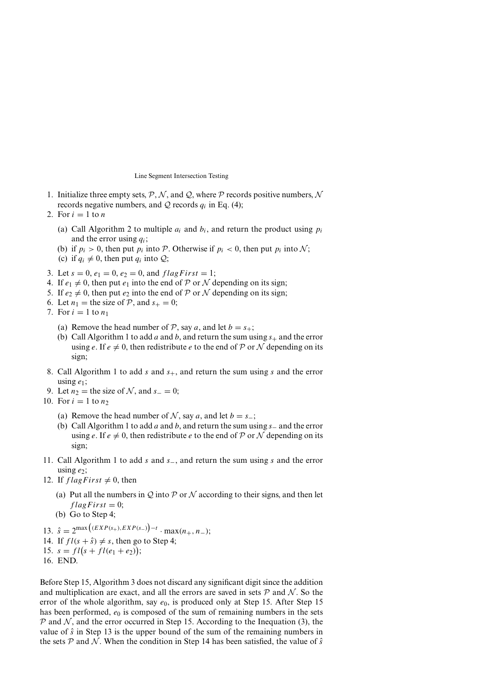- 1. Initialize three empty sets,  $P, N$ , and  $Q$ , where P records positive numbers, N records negative numbers, and  $Q$  records  $q_i$  in Eq. (4);
- 2. For  $i = 1$  to *n* 
	- (a) Call Algorithm 2 to multiple  $a_i$  and  $b_i$ , and return the product using  $p_i$ and the error using *qi*;
	- (b) if  $p_i > 0$ , then put  $p_i$  into P. Otherwise if  $p_i < 0$ , then put  $p_i$  into N;
	- (c) if  $q_i \neq 0$ , then put  $q_i$  into  $Q$ ;
- 3. Let  $s = 0$ ,  $e_1 = 0$ ,  $e_2 = 0$ , and  $flagFirst = 1$ ;
- 4. If  $e_1 \neq 0$ , then put  $e_1$  into the end of P or N depending on its sign;
- 5. If  $e_2 \neq 0$ , then put  $e_2$  into the end of P or N depending on its sign;
- 6. Let  $n_1$  = the size of  $P$ , and  $s_+ = 0$ ;
- 7. For  $i = 1$  to  $n_1$ 
	- (a) Remove the head number of P, say *a*, and let  $b = s_+$ ;
	- (b) Call Algorithm 1 to add *a* and *b*, and return the sum using *s*+ and the error using *e*. If  $e \neq 0$ , then redistribute *e* to the end of P or N depending on its sign;
- 8. Call Algorithm 1 to add *s* and *s*+, and return the sum using *s* and the error using *e*1;
- 9. Let  $n_2$  = the size of N, and  $s_$  = 0;

10. For  $i = 1$  to *n*<sub>2</sub>

- (a) Remove the head number of N, say a, and let  $b = s_$ ;
- (b) Call Algorithm 1 to add *a* and *b*, and return the sum using *s*− and the error using *e*. If  $e \neq 0$ , then redistribute *e* to the end of P or N depending on its sign;
- 11. Call Algorithm 1 to add *s* and *s*−, and return the sum using *s* and the error using  $e_2$ ;
- 12. If  $flagFirst \neq 0$ , then
	- (a) Put all the numbers in Q into P or N according to their signs, and then let  $flag First = 0;$
	- (b) Go to Step 4;
- 13.  $\hat{s} = 2^{\max} ((EXP(s_{+}), EXP(s_{-})) t \cdot \max(n_{+}, n_{-});$
- 14. If  $fl(s + \hat{s}) \neq s$ , then go to Step 4;
- 15.  $s = fl(s + fl(e_1 + e_2));$
- 16. END.

Before Step 15, Algorithm 3 does not discard any significant digit since the addition and multiplication are exact, and all the errors are saved in sets  $P$  and  $N$ . So the error of the whole algorithm, say  $e_0$ , is produced only at Step 15. After Step 15 has been performed,  $e_0$  is composed of the sum of remaining numbers in the sets  $P$  and  $N$ , and the error occurred in Step 15. According to the Inequation (3), the value of  $\hat{s}$  in Step 13 is the upper bound of the sum of the remaining numbers in the sets  $P$  and  $N$ . When the condition in Step 14 has been satisfied, the value of  $\hat{s}$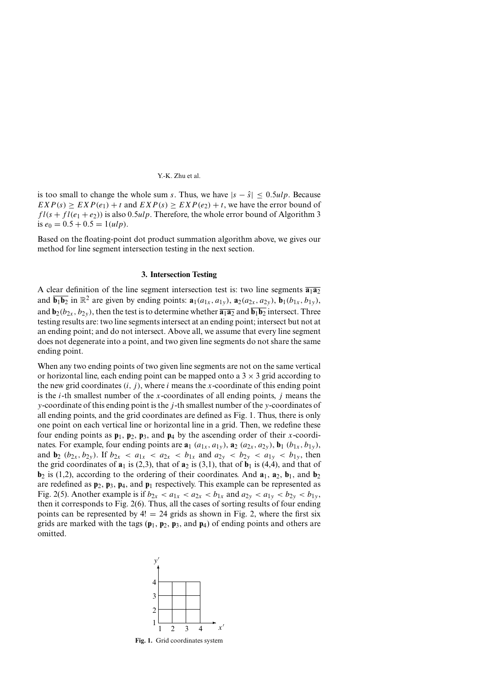#### Y.-K. Zhu et al.

is too small to change the whole sum *s*. Thus, we have  $|s - \hat{s}| \leq 0.5u/p$ . Because  $EXP(s) \ge EXP(e_1) + t$  and  $EXP(s) \ge EXP(e_2) + t$ , we have the error bound of  $fl(s + fl(e_1 + e_2))$  is also 0.5*ulp*. Therefore, the whole error bound of Algorithm 3 is  $e_0 = 0.5 + 0.5 = 1 (ulp)$ .

Based on the floating-point dot product summation algorithm above, we gives our method for line segment intersection testing in the next section.

### **3. Intersection Testing**

A clear definition of the line segment intersection test is: two line segments  $\overline{a_1 a_2}$ and  $\overline{\mathbf{b}_1 \mathbf{b}_2}$  in  $\mathbb{R}^2$  are given by ending points:  $\mathbf{a}_1(a_{1x}, a_{1y})$ ,  $\mathbf{a}_2(a_{2x}, a_{2y})$ ,  $\mathbf{b}_1(b_{1x}, b_{1y})$ , and  $\mathbf{b}_2(b_{2x}, b_{2y})$ , then the test is to determine whether  $\overline{\mathbf{a}_1 \mathbf{a}_2}$  and  $\overline{\mathbf{b}_1 \mathbf{b}_2}$  intersect. Three testing results are: two line segments intersect at an ending point; intersect but not at an ending point; and do not intersect. Above all, we assume that every line segment does not degenerate into a point, and two given line segments do not share the same ending point.

When any two ending points of two given line segments are not on the same vertical or horizontal line, each ending point can be mapped onto a  $3 \times 3$  grid according to the new grid coordinates  $(i, j)$ , where  $i$  means the  $x$ -coordinate of this ending point is the *i*-th smallest number of the *x*-coordinates of all ending points, *j* means the *y*-coordinate of this ending point is the *j* -th smallest number of the *y*-coordinates of all ending points, and the grid coordinates are defined as Fig. 1. Thus, there is only one point on each vertical line or horizontal line in a grid. Then, we redefine these four ending points as  $\mathbf{p}_1$ ,  $\mathbf{p}_2$ ,  $\mathbf{p}_3$ , and  $\mathbf{p}_4$  by the ascending order of their *x*-coordinates. For example, four ending points are  $\mathbf{a}_1$   $(a_{1x}, a_{1y})$ ,  $\mathbf{a}_2$   $(a_{2x}, a_{2y})$ ,  $\mathbf{b}_1$   $(b_{1x}, b_{1y})$ , and  $\mathbf{b}_2$  ( $b_{2x}, b_{2y}$ ). If  $b_{2x} < a_{1x} < a_{2x} < b_{1x}$  and  $a_{2y} < b_{2y} < a_{1y} < b_{1y}$ , then the grid coordinates of  $\mathbf{a}_1$  is (2,3), that of  $\mathbf{a}_2$  is (3,1), that of  $\mathbf{b}_1$  is (4,4), and that of  $\mathbf{b}_2$  is (1,2), according to the ordering of their coordinates. And  $\mathbf{a}_1$ ,  $\mathbf{a}_2$ ,  $\mathbf{b}_1$ , and  $\mathbf{b}_2$ are redefined as **p**2, **p**3, **p**4, and **p**<sup>1</sup> respectively. This example can be represented as Fig. 2(5). Another example is if  $b_{2x} < a_{1x} < a_{2x} < b_{1x}$  and  $a_{2y} < a_{1y} < b_{2y} < b_{1y}$ , then it corresponds to Fig. 2(6). Thus, all the cases of sorting results of four ending points can be represented by  $4! = 24$  grids as shown in Fig. 2, where the first six grids are marked with the tags  $(\mathbf{p}_1, \mathbf{p}_2, \mathbf{p}_3, \text{ and } \mathbf{p}_4)$  of ending points and others are omitted.



**Fig. 1.** Grid coordinates system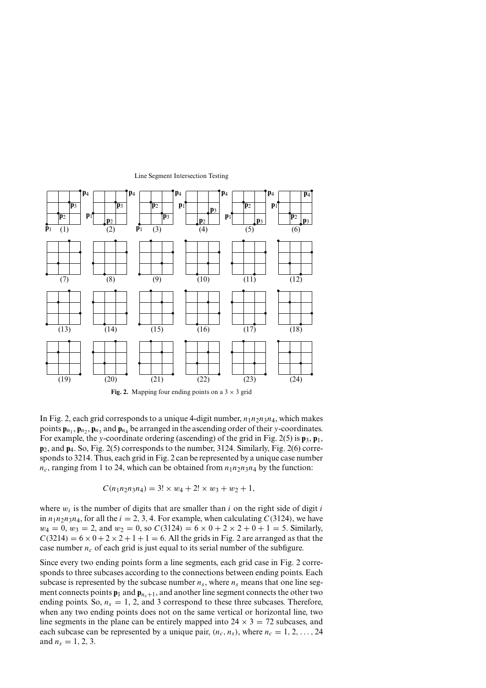#### Line Segment Intersection Testing



**Fig. 2.** Mapping four ending points on a  $3 \times 3$  grid

In Fig. 2, each grid corresponds to a unique 4-digit number,  $n_1 n_2 n_3 n_4$ , which makes points  $\mathbf{p}_{n_1}, \mathbf{p}_{n_2}, \mathbf{p}_{n_3}$  and  $\mathbf{p}_{n_4}$  be arranged in the ascending order of their *y*-coordinates. For example, the *y*-coordinate ordering (ascending) of the grid in Fig. 2(5) is **p**3, **p**1, **p**2, and **p**4. So, Fig. 2(5) corresponds to the number, 3124. Similarly, Fig. 2(6) corresponds to 3214. Thus, each grid in Fig. 2 can be represented by a unique case number  $n_c$ , ranging from 1 to 24, which can be obtained from  $n_1 n_2 n_3 n_4$  by the function:

$$
C(n_1n_2n_3n_4) = 3! \times w_4 + 2! \times w_3 + w_2 + 1,
$$

where  $w_i$  is the number of digits that are smaller than  $i$  on the right side of digit  $i$ in  $n_1 n_2 n_3 n_4$ , for all the  $i = 2, 3, 4$ . For example, when calculating  $C(3124)$ , we have  $w_4 = 0$ ,  $w_3 = 2$ , and  $w_2 = 0$ , so  $C(3124) = 6 \times 0 + 2 \times 2 + 0 + 1 = 5$ . Similarly,  $C(3214) = 6 \times 0 + 2 \times 2 + 1 + 1 = 6$ . All the grids in Fig. 2 are arranged as that the case number  $n_c$  of each grid is just equal to its serial number of the subfigure.

Since every two ending points form a line segments, each grid case in Fig. 2 corresponds to three subcases according to the connections between ending points. Each subcase is represented by the subcase number  $n<sub>s</sub>$ , where  $n<sub>s</sub>$  means that one line segment connects points  $\mathbf{p}_1$  and  $\mathbf{p}_{n+1}$ , and another line segment connects the other two ending points. So,  $n_s = 1$ , 2, and 3 correspond to these three subcases. Therefore, when any two ending points does not on the same vertical or horizontal line, two line segments in the plane can be entirely mapped into  $24 \times 3 = 72$  subcases, and each subcase can be represented by a unique pair,  $(n_c, n_s)$ , where  $n_c = 1, 2, \ldots, 24$ and  $n_s = 1, 2, 3$ .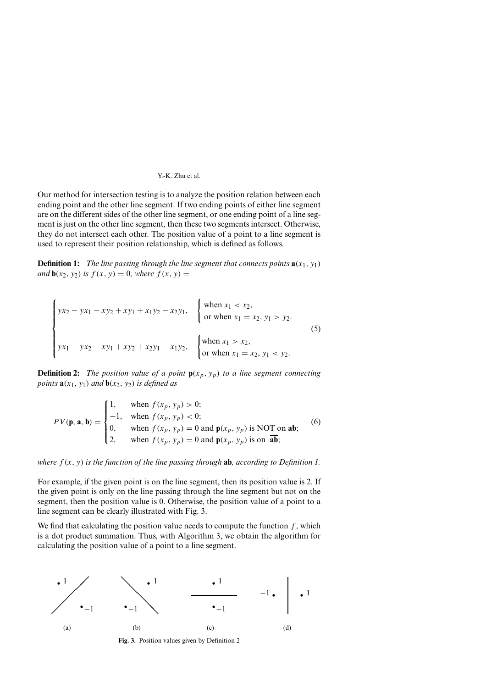Our method for intersection testing is to analyze the position relation between each ending point and the other line segment. If two ending points of either line segment are on the different sides of the other line segment, or one ending point of a line segment is just on the other line segment, then these two segments intersect. Otherwise, they do not intersect each other. The position value of a point to a line segment is used to represent their position relationship, which is defined as follows.

**Definition 1:** *The line passing through the line segment that connects points*  $\mathbf{a}(x_1, y_1)$ *and*  $\mathbf{b}(x_2, y_2)$  *is*  $f(x, y) = 0$ *, where*  $f(x, y) = 0$ 

$$
\begin{cases}\n yx_2 - yx_1 - xy_2 + xy_1 + x_1y_2 - x_2y_1, & \text{when } x_1 < x_2, \\
\text{or when } x_1 = x_2, y_1 > y_2. \\
yx_1 - yx_2 - xy_1 + xy_2 + x_2y_1 - x_1y_2, & \text{when } x_1 > x_2, \\
\text{or when } x_1 = x_2, y_1 < y_2.\n\end{cases}
$$
\n(5)

**Definition 2:** *The position value of a point*  $p(x_p, y_p)$  *to a line segment connecting points*  $\mathbf{a}(x_1, y_1)$  *and*  $\mathbf{b}(x_2, y_2)$  *is defined as* 

$$
PV(\mathbf{p}, \mathbf{a}, \mathbf{b}) = \begin{cases} 1, & \text{when } f(x_p, y_p) > 0; \\ -1, & \text{when } f(x_p, y_p) < 0; \\ 0, & \text{when } f(x_p, y_p) = 0 \text{ and } \mathbf{p}(x_p, y_p) \text{ is NOT on } \mathbf{a} \mathbf{b}; \\ 2, & \text{when } f(x_p, y_p) = 0 \text{ and } \mathbf{p}(x_p, y_p) \text{ is on } \mathbf{a} \mathbf{b}; \end{cases}
$$
(6)

*where f (x, y) is the function of the line passing through* **ab***, according to Definition 1.*

For example, if the given point is on the line segment, then its position value is 2. If the given point is only on the line passing through the line segment but not on the segment, then the position value is 0. Otherwise, the position value of a point to a line segment can be clearly illustrated with Fig. 3.

We find that calculating the position value needs to compute the function *f* , which is a dot product summation. Thus, with Algorithm 3, we obtain the algorithm for calculating the position value of a point to a line segment.



**Fig. 3.** Position values given by Definition 2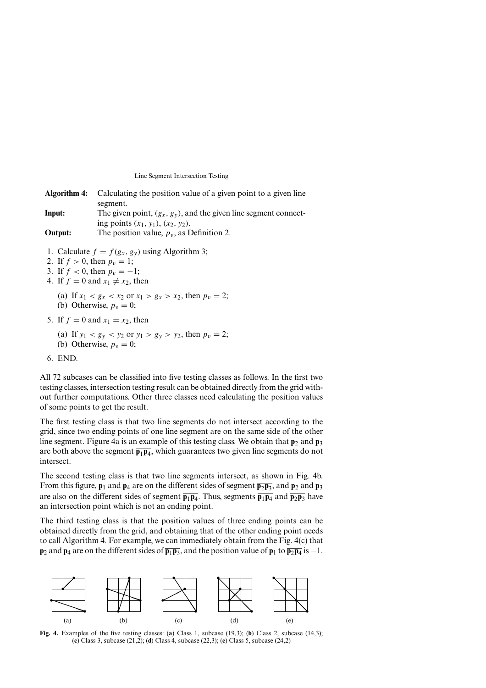| Algorithm 4: | Calculating the position value of a given point to a given line     |
|--------------|---------------------------------------------------------------------|
|              | segment.                                                            |
| Input:       | The given point, $(g_x, g_y)$ , and the given line segment connect- |
|              | ing points $(x_1, y_1)$ , $(x_2, y_2)$ .                            |
| Output:      | The position value, $p_v$ , as Definition 2.                        |
|              |                                                                     |

- 1. Calculate  $f = f(g_x, g_y)$  using Algorithm 3;
- 2. If  $f > 0$ , then  $p_v = 1$ ;
- 3. If  $f < 0$ , then  $p_v = -1$ ;
- 4. If  $f = 0$  and  $x_1 \neq x_2$ , then
	- (a) If  $x_1 < g_x < x_2$  or  $x_1 > g_x > x_2$ , then  $p_v = 2$ ;
	- (b) Otherwise,  $p_v = 0$ ;
- 5. If  $f = 0$  and  $x_1 = x_2$ , then
	- (a) If  $y_1 < g_y < y_2$  or  $y_1 > g_y > y_2$ , then  $p_v = 2$ ;
	- (b) Otherwise,  $p_v = 0$ ;
- 6. END.

All 72 subcases can be classified into five testing classes as follows. In the first two testing classes, intersection testing result can be obtained directly from the grid without further computations. Other three classes need calculating the position values of some points to get the result.

The first testing class is that two line segments do not intersect according to the grid, since two ending points of one line segment are on the same side of the other line segment. Figure 4a is an example of this testing class. We obtain that  $\mathbf{p}_2$  and  $\mathbf{p}_3$ are both above the segment  $\overline{p_1p_4}$ , which guarantees two given line segments do not intersect.

The second testing class is that two line segments intersect, as shown in Fig. 4b. From this figure,  $\mathbf{p}_1$  and  $\mathbf{p}_4$  are on the different sides of segment  $\overline{\mathbf{p}_2\mathbf{p}_3}$ , and  $\mathbf{p}_2$  and  $\mathbf{p}_3$ are also on the different sides of segment  $\overline{p_1p_4}$ . Thus, segments  $\overline{p_1p_4}$  and  $\overline{p_2p_3}$  have an intersection point which is not an ending point.

The third testing class is that the position values of three ending points can be obtained directly from the grid, and obtaining that of the other ending point needs to call Algorithm 4. For example, we can immediately obtain from the Fig. 4(c) that **p**<sub>2</sub> and **p**<sub>4</sub> are on the different sides of  $\overline{p_1p_3}$ , and the position value of **p**<sub>1</sub> to  $\overline{p_2p_4}$  is −1.



**Fig. 4.** Examples of the five testing classes: (**a**) Class 1, subcase (19,3); (**b**) Class 2, subcase (14,3); (**c**) Class 3, subcase (21,2); (**d**) Class 4, subcase (22,3); (**e**) Class 5, subcase (24,2)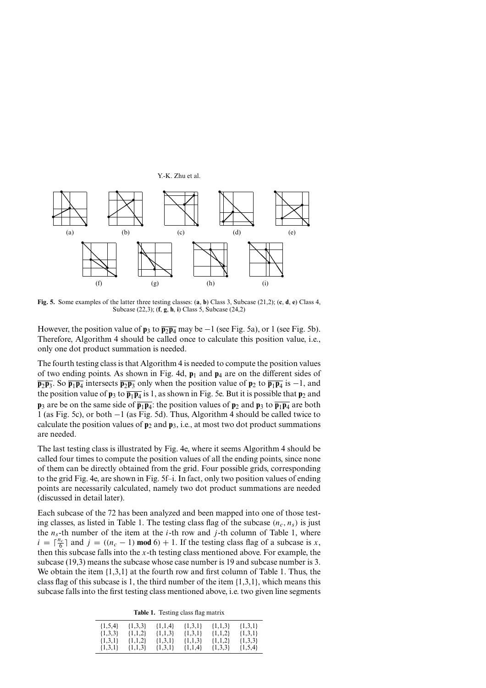

**Fig. 5.** Some examples of the latter three testing classes: (**a**, **b**) Class 3, Subcase (21,2); (**c**, **d**, **e**) Class 4, Subcase (22,3); (**f**, **g**, **h**, **i**) Class 5, Subcase (24,2)

However, the position value of  $\mathbf{p}_3$  to  $\overline{\mathbf{p}_2 \mathbf{p}_4}$  may be  $-1$  (see Fig. 5a), or 1 (see Fig. 5b). Therefore, Algorithm 4 should be called once to calculate this position value, i.e., only one dot product summation is needed.

The fourth testing class is that Algorithm 4 is needed to compute the position values of two ending points. As shown in Fig. 4d,  $\mathbf{p}_1$  and  $\mathbf{p}_4$  are on the different sides of  $\overline{p_2p_3}$ . So  $\overline{p_1p_4}$  intersects  $\overline{p_2p_3}$  only when the position value of  $p_2$  to  $\overline{p_1p_4}$  is  $-1$ , and the position value of  $\mathbf{p}_3$  to  $\overline{\mathbf{p}_1 \mathbf{p}_4}$  is 1, as shown in Fig. 5e. But it is possible that  $\mathbf{p}_2$  and **p**<sub>3</sub> are be on the same side of  $\overline{p_1p_4}$ : the position values of **p**<sub>2</sub> and **p**<sub>3</sub> to  $\overline{p_1p_4}$  are both 1 (as Fig. 5c), or both −1 (as Fig. 5d). Thus, Algorithm 4 should be called twice to calculate the position values of  $\mathbf{p}_2$  and  $\mathbf{p}_3$ , i.e., at most two dot product summations are needed.

The last testing class is illustrated by Fig. 4e, where it seems Algorithm 4 should be called four times to compute the position values of all the ending points, since none of them can be directly obtained from the grid. Four possible grids, corresponding to the grid Fig. 4e, are shown in Fig. 5f–i. In fact, only two position values of ending points are necessarily calculated, namely two dot product summations are needed (discussed in detail later).

Each subcase of the 72 has been analyzed and been mapped into one of those testing classes, as listed in Table 1. The testing class flag of the subcase  $(n_c, n_s)$  is just the *ns*-th number of the item at the *i*-th row and *j* -th column of Table 1, where  $i = \lceil \frac{n_c}{6} \rceil$  and  $j = ((n_c - 1) \text{ mod } 6) + 1$ . If the testing class flag of a subcase is *x*, then this subcase falls into the *x*-th testing class mentioned above. For example, the subcase (19,3) means the subcase whose case number is 19 and subcase number is 3. We obtain the item  $\{1,3,1\}$  at the fourth row and first column of Table 1. Thus, the class flag of this subcase is 1, the third number of the item  $\{1,3,1\}$ , which means this subcase falls into the first testing class mentioned above, i.e. two given line segments

**Table 1.** Testing class flag matrix

| $\{1, 5, 4\}$ | $\{1,3,3\}$ | $\{1, 1, 4\}$ | $\{1,3,1\}$ | $\{1,1,3\}$ | $\{1,3,1\}$ |
|---------------|-------------|---------------|-------------|-------------|-------------|
| $\{1,3,3\}$   | ${1,1,2}$   | $\{1,1,3\}$   | ${1,3,1}$   | ${1,1,2}$   | $\{1,3,1\}$ |
| $\{1,3,1\}$   | $\{1,1,2\}$ | $\{1,3,1\}$   | $\{1,1,3\}$ | ${1,1,2}$   | $\{1,3,3\}$ |
| ${1,3,1}$     | $\{1,1,3\}$ | $\{1,3,1\}$   | $\{1,1,4\}$ | $\{1,3,3\}$ | ${1, 5, 4}$ |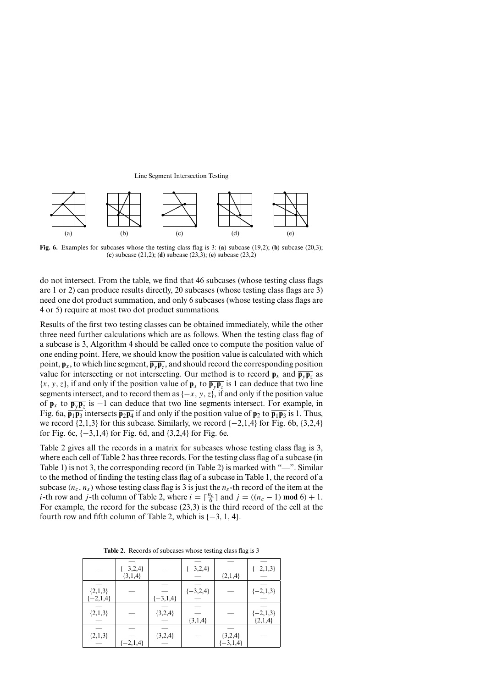

**Fig. 6.** Examples for subcases whose the testing class flag is 3: (**a**) subcase (19,2); (**b**) subcase (20,3); (**c**) subcase (21,2); (**d**) subcase (23,3); (**e**) subcase (23,2)

do not intersect. From the table, we find that 46 subcases (whose testing class flags are 1 or 2) can produce results directly, 20 subcases (whose testing class flags are 3) need one dot product summation, and only 6 subcases (whose testing class flags are 4 or 5) require at most two dot product summations.

Results of the first two testing classes can be obtained immediately, while the other three need further calculations which are as follows. When the testing class flag of a subcase is 3, Algorithm 4 should be called once to compute the position value of one ending point. Here, we should know the position value is calculated with which point,  $\mathbf{p}_x$ , to which line segment,  $\overline{\mathbf{p}_y \mathbf{p}_z}$ , and should record the corresponding position value for intersecting or not intersecting. Our method is to record  $\mathbf{p}_x$  and  $\overline{\mathbf{p}_y \mathbf{p}_z}$  as  $\{x, y, z\}$ , if and only if the position value of  $\mathbf{p}_x$  to  $\overline{\mathbf{p}_y \mathbf{p}_z}$  is 1 can deduce that two line segments intersect, and to record them as  $\{-x, y, z\}$ , if and only if the position value of  $\mathbf{p}_x$  to  $\overline{\mathbf{p}_y \mathbf{p}_z}$  is  $-1$  can deduce that two line segments intersect. For example, in Fig. 6a,  $\overline{p_1p_3}$  intersects  $\overline{p_2p_4}$  if and only if the position value of  $p_2$  to  $\overline{p_1p_3}$  is 1. Thus, we record  $\{2,1,3\}$  for this subcase. Similarly, we record  $\{-2,1,4\}$  for Fig. 6b,  $\{3,2,4\}$ for Fig. 6c,  $\{-3,1,4\}$  for Fig. 6d, and  $\{3,2,4\}$  for Fig. 6e.

Table 2 gives all the records in a matrix for subcases whose testing class flag is 3, where each cell of Table 2 has three records. For the testing class flag of a subcase (in Table 1) is not 3, the corresponding record (in Table 2) is marked with "—". Similar to the method of finding the testing class flag of a subcase in Table 1, the record of a subcase  $(n_c, n_s)$  whose testing class flag is 3 is just the  $n_s$ -th record of the item at the *i*-th row and *j*-th column of Table 2, where  $i = \lceil \frac{n_c}{6} \rceil$  and  $j = ((n_c - 1) \text{ mod } 6) + 1$ . For example, the record for the subcase (23,3) is the third record of the cell at the fourth row and fifth column of Table 2, which is {−3*,* 1*,* 4}.

|                             | $\{-3,2,4\}$<br>$\{3,1,4\}$ |              | $\{-3,2,4\}$ | $\{2,1,4\}$               | $\{-2,1,3\}$                |
|-----------------------------|-----------------------------|--------------|--------------|---------------------------|-----------------------------|
| $\{2,1,3\}$<br>$\{-2,1,4\}$ |                             | $\{-3,1,4\}$ | $\{-3,2,4\}$ |                           | $\{-2,1,3\}$                |
| $\{2,1,3\}$                 |                             | ${3,2,4}$    | $\{3,1,4\}$  |                           | $\{-2,1,3\}$<br>$\{2,1,4\}$ |
| $\{2,1,3\}$                 | $\{-2,1,4\}$                | ${3,2,4}$    |              | ${3,2,4}$<br>$\{-3,1,4\}$ |                             |

**Table 2.** Records of subcases whose testing class flag is 3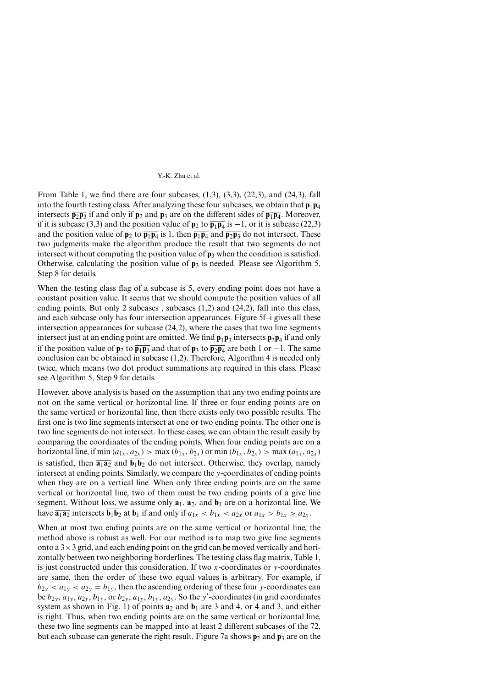From Table 1, we find there are four subcases,  $(1,3)$ ,  $(3,3)$ ,  $(22,3)$ , and  $(24,3)$ , fall into the fourth testing class. After analyzing these four subcases, we obtain that  $\overline{p_1p_4}$ intersects  $\overline{p_2p_3}$  if and only if  $p_2$  and  $p_3$  are on the different sides of  $\overline{p_1p_4}$ . Moreover, if it is subcase (3,3) and the position value of  $\mathbf{p}_2$  to  $\overline{\mathbf{p}_1 \mathbf{p}_4}$  is  $-1$ , or it is subcase (22,3) and the position value of  $\mathbf{p}_2$  to  $\overline{\mathbf{p}_1 \mathbf{p}_4}$  is 1, then  $\overline{\mathbf{p}_1 \mathbf{p}_4}$  and  $\overline{\mathbf{p}_2 \mathbf{p}_3}$  do not intersect. These two judgments make the algorithm produce the result that two segments do not intersect without computing the position value of  $\mathbf{p}_3$  when the condition is satisfied. Otherwise, calculating the position value of  $p_3$  is needed. Please see Algorithm 5, Step 8 for details.

When the testing class flag of a subcase is 5, every ending point does not have a constant position value. It seems that we should compute the position values of all ending points. But only 2 subcases, subcases  $(1,2)$  and  $(24,2)$ , fall into this class, and each subcase only has four intersection appearances. Figure 5f–i gives all these intersection appearances for subcase (24,2), where the cases that two line segments intersect just at an ending point are omitted. We find  $\overline{p_1p_3}$  intersects  $\overline{p_2p_4}$  if and only if the position value of  $\mathbf{p}_2$  to  $\overline{\mathbf{p}_1 \mathbf{p}_3}$  and that of  $\mathbf{p}_3$  to  $\overline{\mathbf{p}_2 \mathbf{p}_4}$  are both 1 or −1. The same conclusion can be obtained in subcase (1,2). Therefore, Algorithm 4 is needed only twice, which means two dot product summations are required in this class. Please see Algorithm 5, Step 9 for details.

However, above analysis is based on the assumption that any two ending points are not on the same vertical or horizontal line. If three or four ending points are on the same vertical or horizontal line, then there exists only two possible results. The first one is two line segments intersect at one or two ending points. The other one is two line segments do not intersect. In these cases, we can obtain the result easily by comparing the coordinates of the ending points. When four ending points are on a horizontal line, if min  $(a_{1x}, a_{2x}) > \max(b_{1x}, b_{2x})$  or min  $(b_{1x}, b_{2x}) > \max(a_{1x}, a_{2x})$ is satisfied, then  $\overline{a_1 a_2}$  and  $\overline{b_1 b_2}$  do not intersect. Otherwise, they overlap, namely intersect at ending points. Similarly, we compare the *y*-coordinates of ending points when they are on a vertical line. When only three ending points are on the same vertical or horizontal line, two of them must be two ending points of a give line segment. Without loss, we assume only  $a_1$ ,  $a_2$ , and  $b_1$  are on a horizontal line. We have  $\overline{a_1 a_2}$  intersects  $\overline{b_1 b_2}$  at  $b_1$  if and only if  $a_{1x} < b_{1x} < a_{2x}$  or  $a_{1x} > b_{1x} > a_{2x}$ .

When at most two ending points are on the same vertical or horizontal line, the method above is robust as well. For our method is to map two give line segments onto a  $3 \times 3$  grid, and each ending point on the grid can be moved vertically and horizontally between two neighboring borderlines. The testing class flag matrix, Table 1, is just constructed under this consideration. If two *x*-coordinates or *y*-coordinates are same, then the order of these two equal values is arbitrary. For example, if  $b_{2y} < a_{1y} < a_{2y} = b_{1y}$ , then the ascending ordering of these four *y*-coordinates can be  $b_{2y}$ ,  $a_{1y}$ ,  $a_{2y}$ ,  $b_{1y}$ , or  $b_{2y}$ ,  $a_{1y}$ ,  $b_{1y}$ ,  $a_{2y}$ . So the *y*'-coordinates (in grid coordinates system as shown in Fig. 1) of points  $a_2$  and  $b_1$  are 3 and 4, or 4 and 3, and either is right. Thus, when two ending points are on the same vertical or horizontal line, these two line segments can be mapped into at least 2 different subcases of the 72, but each subcase can generate the right result. Figure 7a shows **p**<sup>2</sup> and **p**<sup>3</sup> are on the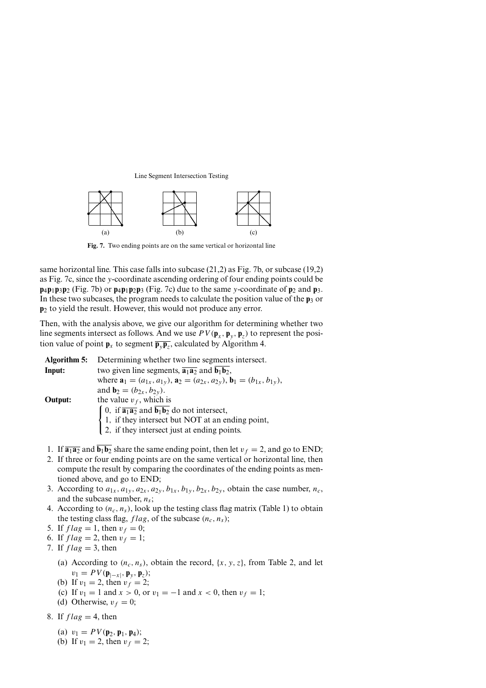

**Fig. 7.** Two ending points are on the same vertical or horizontal line

same horizontal line. This case falls into subcase (21,2) as Fig. 7b, or subcase (19,2) as Fig. 7c, since the *y*-coordinate ascending ordering of four ending points could be  $p_4 p_1 p_3 p_2$  (Fig. 7b) or  $p_4 p_1 p_2 p_3$  (Fig. 7c) due to the same *y*-coordinate of  $p_2$  and  $p_3$ . In these two subcases, the program needs to calculate the position value of the  $\mathbf{p}_3$  or **p**<sup>2</sup> to yield the result. However, this would not produce any error.

Then, with the analysis above, we give our algorithm for determining whether two line segments intersect as follows. And we use  $PV(\mathbf{p}_x, \mathbf{p}_y, \mathbf{p}_z)$  to represent the position value of point  $\mathbf{p}_x$  to segment  $\overline{\mathbf{p}_y \mathbf{p}_z}$ , calculated by Algorithm 4.

| Algorithm 5: | Determining whether two line segments intersect.                                                                                                                                                                                              |  |  |
|--------------|-----------------------------------------------------------------------------------------------------------------------------------------------------------------------------------------------------------------------------------------------|--|--|
| Input:       | two given line segments, $\overline{a_1 a_2}$ and $b_1 b_2$ ,                                                                                                                                                                                 |  |  |
|              | where $\mathbf{a}_1 = (a_{1x}, a_{1y}), \mathbf{a}_2 = (a_{2x}, a_{2y}), \mathbf{b}_1 = (b_{1x}, b_{1y}),$                                                                                                                                    |  |  |
|              | and $\mathbf{b}_2 = (b_{2x}, b_{2y})$ .                                                                                                                                                                                                       |  |  |
| Output:      | the value $v_f$ , which is                                                                                                                                                                                                                    |  |  |
|              |                                                                                                                                                                                                                                               |  |  |
|              | $\left\{ \begin{array}{ll} 0, & \text{if } \overline{\mathbf{a}_1 \mathbf{a}_2} \text{ and } \overline{\mathbf{b}_1 \mathbf{b}_2} \text{ do not intersect,} \\ 1, & \text{if they intersect but NOT at an ending point,} \end{array} \right.$ |  |  |
|              | 2, if they intersect just at ending points.                                                                                                                                                                                                   |  |  |
|              |                                                                                                                                                                                                                                               |  |  |

- 1. If  $\overline{a_1 a_2}$  and  $\overline{b_1 b_2}$  share the same ending point, then let  $v_f = 2$ , and go to END;
- 2. If three or four ending points are on the same vertical or horizontal line, then compute the result by comparing the coordinates of the ending points as mentioned above, and go to END;
- 3. According to  $a_{1x}$ ,  $a_{1y}$ ,  $a_{2x}$ ,  $a_{2y}$ ,  $b_{1x}$ ,  $b_{1y}$ ,  $b_{2x}$ ,  $b_{2y}$ , obtain the case number,  $n_c$ , and the subcase number,  $n_s$ ;
- 4. According to  $(n_c, n_s)$ , look up the testing class flag matrix (Table 1) to obtain the testing class flag,  $flag$ , of the subcase  $(n_c, n_s)$ ;
- 5. If  $flag = 1$ , then  $v_f = 0$ ;
- 6. If  $flag = 2$ , then  $v_f = 1$ ;
- 7. If  $flag = 3$ , then
	- (a) According to  $(n_c, n_s)$ , obtain the record,  $\{x, y, z\}$ , from Table 2, and let  $v_1 = PV(\mathbf{p}_{|-x|}, \mathbf{p}_y, \mathbf{p}_z);$
	- (b) If  $v_1 = 2$ , then  $v_f = 2$ ;
	- (c) If  $v_1 = 1$  and  $x > 0$ , or  $v_1 = -1$  and  $x < 0$ , then  $v_f = 1$ ;
	- (d) Otherwise,  $v_f = 0$ ;
- 8. If  $flag = 4$ , then
	- (a)  $v_1 = PV(\mathbf{p}_2, \mathbf{p}_1, \mathbf{p}_4)$ ;
	- (b) If  $v_1 = 2$ , then  $v_f = 2$ ;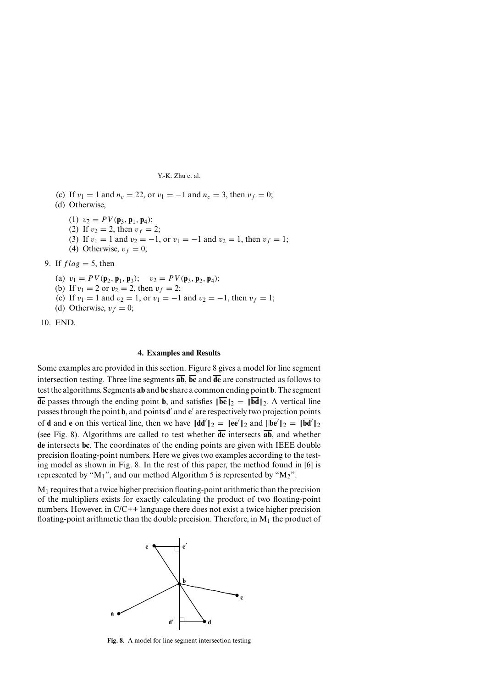- (c) If  $v_1 = 1$  and  $n_c = 22$ , or  $v_1 = -1$  and  $n_c = 3$ , then  $v_f = 0$ ;
- (d) Otherwise,
	- (1)  $v_2 = PV(\mathbf{p}_3, \mathbf{p}_1, \mathbf{p}_4)$ ;
	- (2) If  $v_2 = 2$ , then  $v_f = 2$ ;
	- (3) If  $v_1 = 1$  and  $v_2 = -1$ , or  $v_1 = -1$  and  $v_2 = 1$ , then  $v_f = 1$ ;
	- (4) Otherwise,  $v_f = 0$ ;

9. If  $flag = 5$ , then

- (a)  $v_1 = PV(\mathbf{p}_2, \mathbf{p}_1, \mathbf{p}_3);$   $v_2 = PV(\mathbf{p}_3, \mathbf{p}_2, \mathbf{p}_4);$
- (b) If  $v_1 = 2$  or  $v_2 = 2$ , then  $v_f = 2$ ;
- (c) If  $v_1 = 1$  and  $v_2 = 1$ , or  $v_1 = -1$  and  $v_2 = -1$ , then  $v_f = 1$ ;
- (d) Otherwise,  $v_f = 0$ ;

```
10. END.
```
## **4. Examples and Results**

Some examples are provided in this section. Figure 8 gives a model for line segment intersection testing. Three line segments  $\overline{ab}$ ,  $\overline{bc}$  and  $\overline{de}$  are constructed as follows to test the algorithms. Segments  $\overline{ab}$  and  $\overline{bc}$  share a common ending point **b**. The segment  $\overline{\mathbf{de}}$  passes through the ending point **b**, and satisfies  $\|\overline{\mathbf{be}}\|_2 = \|\overline{\mathbf{bd}}\|_2$ . A vertical line passes through the point **b**, and points **d**' and **e**' are respectively two projection points of **d** and **e** on this vertical line, then we have  $\|\overline{\mathbf{dd}}'\|_2 = \|\overline{\mathbf{ee}}'\|_2$  and  $\|\overline{\mathbf{be}}'\|_2 = \|\overline{\mathbf{bd}}'\|_2$ (see Fig. 8). Algorithms are called to test whether **de** intersects **ab**, and whether **de** intersects **bc**. The coordinates of the ending points are given with IEEE double precision floating-point numbers. Here we gives two examples according to the testing model as shown in Fig. 8. In the rest of this paper, the method found in [6] is represented by " $M_1$ ", and our method Algorithm 5 is represented by " $M_2$ ".

M1 requires that a twice higher precision floating-point arithmetic than the precision of the multipliers exists for exactly calculating the product of two floating-point numbers. However, in C/C++ language there does not exist a twice higher precision floating-point arithmetic than the double precision. Therefore, in  $M_1$  the product of



**Fig. 8.** A model for line segment intersection testing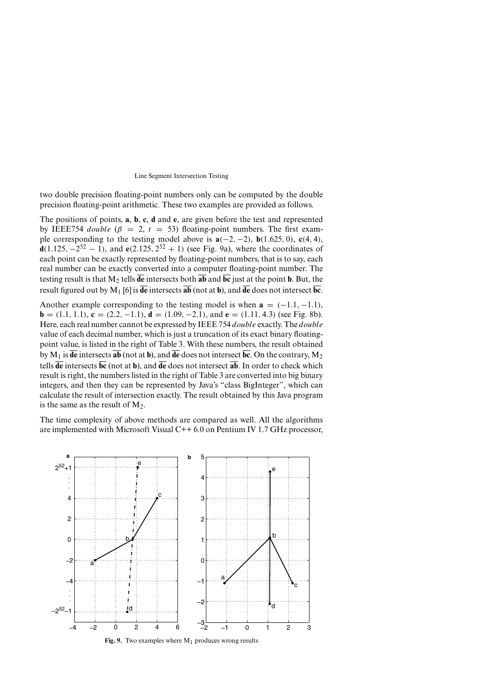two double precision floating-point numbers only can be computed by the double precision floating-point arithmetic. These two examples are provided as follows.

The positions of points, **a**, **b**, **c**, **d** and **e**, are given before the test and represented by IEEE754 *double* ( $\beta = 2$ ,  $t = 53$ ) floating-point numbers. The first example corresponding to the testing model above is  $a(-2, -2)$ ,  $b(1.625, 0)$ ,  $c(4, 4)$ , **d**(1.125*,*  $-2^{52} - 1$ *)*, and **e**(2.125*,*  $2^{52} + 1$ *)* (see Fig. 9a), where the coordinates of each point can be exactly represented by floating-point numbers, that is to say, each real number can be exactly converted into a computer floating-point number. The testing result is that  $M_2$  tells  $\overline{de}$  intersects both  $\overline{ab}$  and  $\overline{bc}$  just at the point **b**. But, the result figured out by  $M_1$  [6] is  $\overline{de}$  intersects  $\overline{ab}$  (not at **b**), and  $\overline{de}$  does not intersect  $\overline{bc}$ .

Another example corresponding to the testing model is when  $\mathbf{a} = (-1.1, -1.1)$ , **b** =  $(1.1, 1.1)$ , **c** =  $(2.2, -1.1)$ , **d** =  $(1.09, -2.1)$ , and **e** =  $(1.11, 4.3)$  (see Fig. 8b). Here, each real number cannot be expressed by IEEE 754 *double* exactly. The *double* value of each decimal number, which is just a truncation of its exact binary floatingpoint value, is listed in the right of Table 3. With these numbers, the result obtained by  $M_1$  is  $\overline{\mathbf{de}}$  intersects  $\overline{\mathbf{ab}}$  (not at **b**), and  $\overline{\mathbf{de}}$  does not intersect  $\overline{\mathbf{bc}}$ . On the contrary,  $M_2$ tells  $\overline{\mathbf{de}}$  intersects  $\overline{\mathbf{bc}}$  (not at **b**), and  $\overline{\mathbf{de}}$  does not intersect  $\overline{\mathbf{ab}}$ . In order to check which result is right, the numbers listed in the right of Table 3 are converted into big binary integers, and then they can be represented by Java's "class BigInteger", which can calculate the result of intersection exactly. The result obtained by this Java program is the same as the result of  $M_2$ .

The time complexity of above methods are compared as well. All the algorithms are implemented with Microsoft Visual C++ 6.0 on Pentium IV 1.7 GHz processor,



**Fig. 9.** Two examples where  $M_1$  produces wrong results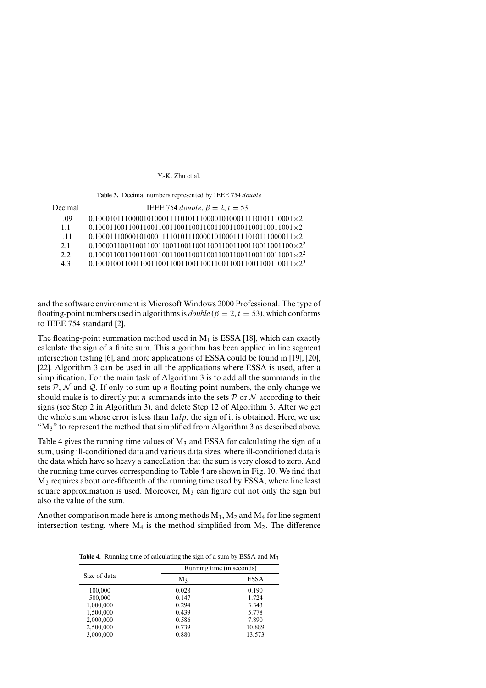| Decimal | IEEE 754 <i>double</i> , $\beta = 2, t = 53$ |
|---------|----------------------------------------------|
| 1.09    |                                              |
| 11      |                                              |
| 1 1 1   |                                              |
| 21      |                                              |
| 22      |                                              |
| 43      |                                              |

**Table 3.** Decimal numbers represented by IEEE 754 *double*

and the software environment is Microsoft Windows 2000 Professional. The type of floating-point numbers used in algorithms is  $double$  ( $\beta$  = 2,  $t$  = 53), which conforms to IEEE 754 standard [2].

The floating-point summation method used in  $M_1$  is ESSA [18], which can exactly calculate the sign of a finite sum. This algorithm has been applied in line segment intersection testing [6], and more applications of ESSA could be found in [19], [20], [22]. Algorithm 3 can be used in all the applications where ESSA is used, after a simplification. For the main task of Algorithm 3 is to add all the summands in the sets  $P$ ,  $N$  and  $Q$ . If only to sum up *n* floating-point numbers, the only change we should make is to directly put *n* summands into the sets  $\mathcal P$  or  $\mathcal N$  according to their signs (see Step 2 in Algorithm 3), and delete Step 12 of Algorithm 3. After we get the whole sum whose error is less than 1*ulp*, the sign of it is obtained. Here, we use " $M_3$ " to represent the method that simplified from Algorithm 3 as described above.

Table 4 gives the running time values of  $M_3$  and ESSA for calculating the sign of a sum, using ill-conditioned data and various data sizes, where ill-conditioned data is the data which have so heavy a cancellation that the sum is very closed to zero. And the running time curves corresponding to Table 4 are shown in Fig. 10. We find that  $M_3$  requires about one-fifteenth of the running time used by ESSA, where line least square approximation is used. Moreover,  $M_3$  can figure out not only the sign but also the value of the sum.

Another comparison made here is among methods  $M_1$ ,  $M_2$  and  $M_4$  for line segment intersection testing, where  $M_4$  is the method simplified from  $M_2$ . The difference

|              | Running time (in seconds) |             |  |
|--------------|---------------------------|-------------|--|
| Size of data | $M_3$                     | <b>ESSA</b> |  |
| 100,000      | 0.028                     | 0.190       |  |
| 500,000      | 0.147                     | 1.724       |  |
| 1,000,000    | 0.294                     | 3.343       |  |
| 1,500,000    | 0.439                     | 5.778       |  |
| 2,000,000    | 0.586                     | 7.890       |  |
| 2,500,000    | 0.739                     | 10.889      |  |
| 3,000,000    | 0.880                     | 13.573      |  |

Table 4. Running time of calculating the sign of a sum by ESSA and M<sub>3</sub>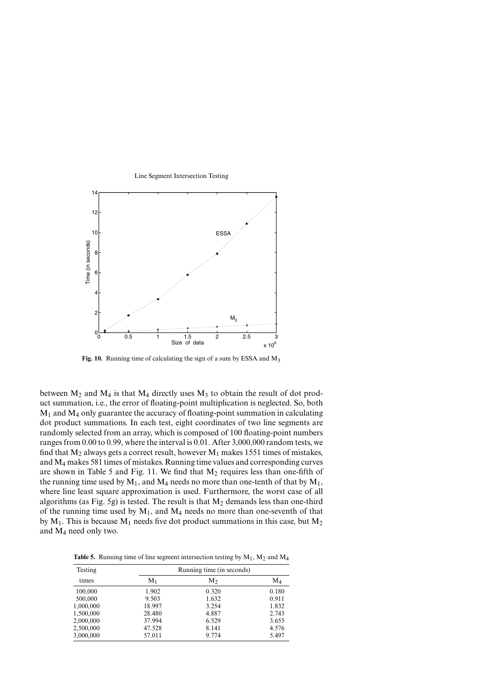

**Fig. 10.** Running time of calculating the sign of a sum by ESSA and M3

between  $M_2$  and  $M_4$  is that  $M_4$  directly uses  $M_3$  to obtain the result of dot product summation, i.e., the error of floating-point multiplication is neglected. So, both  $M_1$  and  $M_4$  only guarantee the accuracy of floating-point summation in calculating dot product summations. In each test, eight coordinates of two line segments are randomly selected from an array, which is composed of 100 floating-point numbers ranges from 0.00 to 0.99, where the interval is 0.01. After 3,000,000 random tests, we find that  $M_2$  always gets a correct result, however  $M_1$  makes 1551 times of mistakes, and M4 makes 581 times of mistakes. Running time values and corresponding curves are shown in Table 5 and Fig. 11. We find that  $M_2$  requires less than one-fifth of the running time used by  $M_1$ , and  $M_4$  needs no more than one-tenth of that by  $M_1$ , where line least square approximation is used. Furthermore, the worst case of all algorithms (as Fig. 5g) is tested. The result is that  $M_2$  demands less than one-third of the running time used by  $M_1$ , and  $M_4$  needs no more than one-seventh of that by  $M_1$ . This is because  $M_1$  needs five dot product summations in this case, but  $M_2$ and M4 need only two.

| Testing   | Running time (in seconds) |                |           |
|-----------|---------------------------|----------------|-----------|
| times     | $M_1$                     | M <sub>2</sub> | $\rm M_4$ |
| 100,000   | 1.902                     | 0.320          | 0.180     |
| 500,000   | 9.503                     | 1.632          | 0.911     |
| 1,000,000 | 18.997                    | 3.254          | 1.832     |
| 1,500,000 | 28.480                    | 4.887          | 2.743     |
| 2,000,000 | 37.994                    | 6.529          | 3.655     |
| 2,500,000 | 47.528                    | 8.141          | 4.576     |
| 3,000,000 | 57.011                    | 9.774          | 5.497     |

**Table 5.** Running time of line segment intersection testing by  $M_1$ ,  $M_2$  and  $M_4$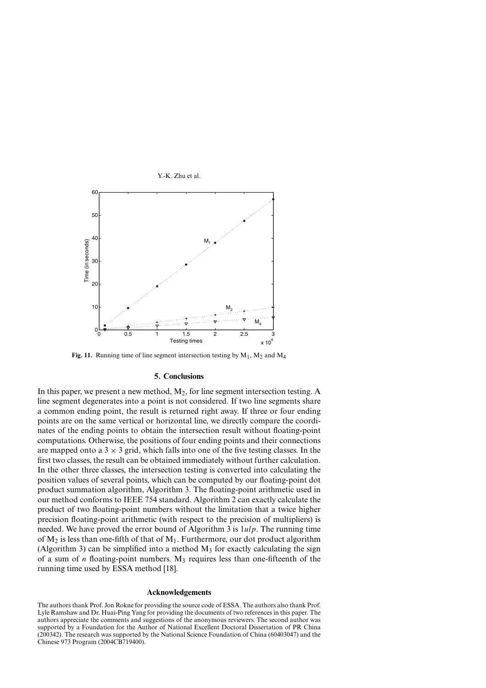Y.-K. Zhu et al.



**Fig. 11.** Running time of line segment intersection testing by  $M_1$ ,  $M_2$  and  $M_4$ 

#### **5. Conclusions**

In this paper, we present a new method,  $M_2$ , for line segment intersection testing. A line segment degenerates into a point is not considered. If two line segments share a common ending point, the result is returned right away. If three or four ending points are on the same vertical or horizontal line, we directly compare the coordinates of the ending points to obtain the intersection result without floating-point computations. Otherwise, the positions of four ending points and their connections are mapped onto a  $3 \times 3$  grid, which falls into one of the five testing classes. In the first two classes, the result can be obtained immediately without further calculation. In the other three classes, the intersection testing is converted into calculating the position values of several points, which can be computed by our floating-point dot product summation algorithm, Algorithm 3. The floating-point arithmetic used in our method conforms to IEEE 754 standard. Algorithm 2 can exactly calculate the product of two floating-point numbers without the limitation that a twice higher precision floating-point arithmetic (with respect to the precision of multipliers) is needed. We have proved the error bound of Algorithm 3 is 1*ulp*. The running time of  $M_2$  is less than one-fifth of that of  $M_1$ . Furthermore, our dot product algorithm (Algorithm 3) can be simplified into a method  $M_3$  for exactly calculating the sign of a sum of *n* floating-point numbers.  $M_3$  requires less than one-fifteenth of the running time used by ESSA method [18].

### **Acknowledgements**

The authors thank Prof. Jon Rokne for providing the source code of ESSA. The authors also thank Prof. Lyle Ramshaw and Dr. Huai-Ping Yang for providing the documents of two references in this paper. The authors appreciate the comments and suggestions of the anonymous reviewers. The second author was supported by a Foundation for the Author of National Excellent Doctoral Dissertation of PR China (200342). The research was supported by the National Science Foundation of China (60403047) and the Chinese 973 Program (2004CB719400).